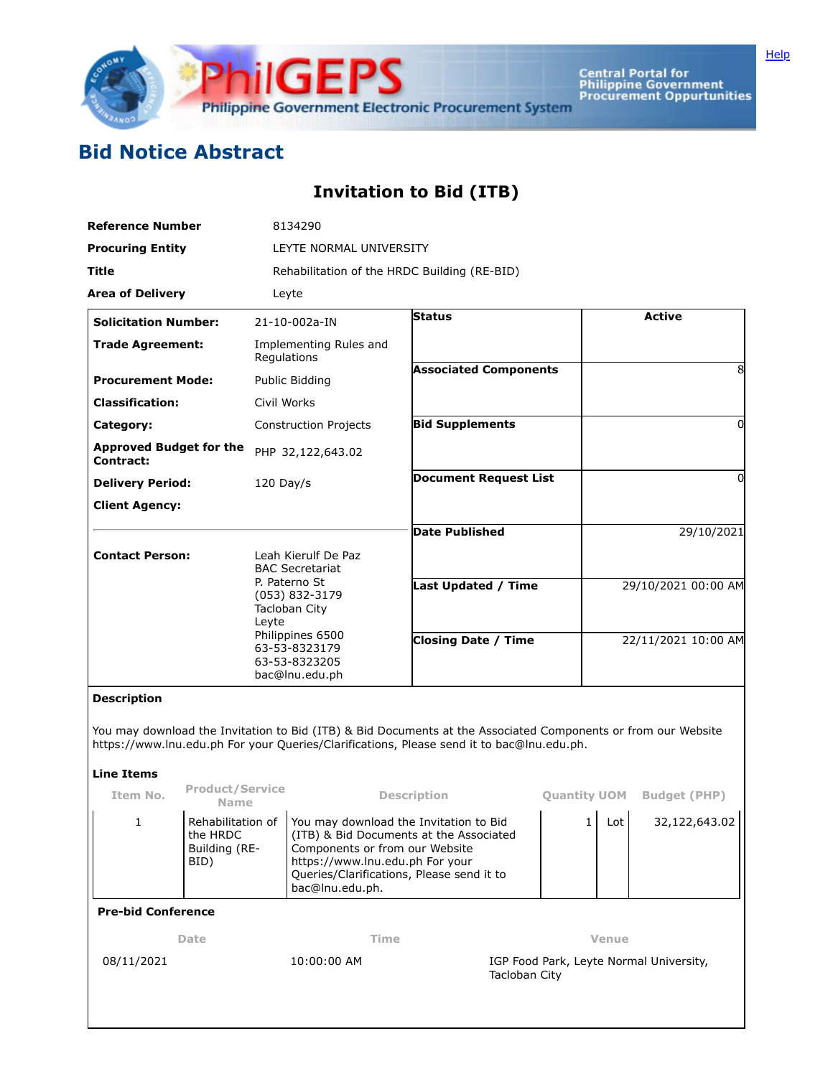

Central Portal for<br>Philippine Government<br>Procurement Oppurtunities

## **Bid Notice Abstract**

## **Invitation to Bid (ITB)**

|                                                    | <b>Reference Number</b>       |                                                                                  | 8134290                                                                           |                              |                                         |                     |                     |                    |  |  |  |                                                                                                                                                                                                            |  |  |  |
|----------------------------------------------------|-------------------------------|----------------------------------------------------------------------------------|-----------------------------------------------------------------------------------|------------------------------|-----------------------------------------|---------------------|---------------------|--------------------|--|--|--|------------------------------------------------------------------------------------------------------------------------------------------------------------------------------------------------------------|--|--|--|
| <b>Procuring Entity</b>                            |                               | LEYTE NORMAL UNIVERSITY                                                          |                                                                                   |                              |                                         |                     |                     |                    |  |  |  |                                                                                                                                                                                                            |  |  |  |
| Title                                              |                               | Rehabilitation of the HRDC Building (RE-BID)                                     |                                                                                   |                              |                                         |                     |                     |                    |  |  |  |                                                                                                                                                                                                            |  |  |  |
| <b>Area of Delivery</b>                            |                               |                                                                                  | Leyte                                                                             |                              |                                         |                     |                     |                    |  |  |  |                                                                                                                                                                                                            |  |  |  |
| <b>Solicitation Number:</b>                        |                               |                                                                                  | 21-10-002a-IN                                                                     | <b>Status</b>                |                                         |                     | <b>Active</b>       |                    |  |  |  |                                                                                                                                                                                                            |  |  |  |
| <b>Trade Agreement:</b>                            |                               | Implementing Rules and<br>Regulations                                            |                                                                                   |                              |                                         |                     |                     |                    |  |  |  |                                                                                                                                                                                                            |  |  |  |
| <b>Procurement Mode:</b>                           |                               | Public Bidding<br>Civil Works                                                    |                                                                                   | <b>Associated Components</b> |                                         |                     | 8                   |                    |  |  |  |                                                                                                                                                                                                            |  |  |  |
| <b>Classification:</b>                             |                               |                                                                                  |                                                                                   |                              |                                         |                     |                     |                    |  |  |  |                                                                                                                                                                                                            |  |  |  |
| Category:                                          |                               | <b>Construction Projects</b>                                                     |                                                                                   | <b>Bid Supplements</b>       |                                         | 0                   |                     |                    |  |  |  |                                                                                                                                                                                                            |  |  |  |
| <b>Approved Budget for the</b><br><b>Contract:</b> |                               |                                                                                  | PHP 32,122,643.02                                                                 |                              |                                         |                     |                     |                    |  |  |  |                                                                                                                                                                                                            |  |  |  |
| <b>Delivery Period:</b>                            |                               | $120$ Day/s                                                                      |                                                                                   | <b>Document Request List</b> |                                         | 0                   |                     |                    |  |  |  |                                                                                                                                                                                                            |  |  |  |
| <b>Client Agency:</b>                              |                               |                                                                                  |                                                                                   |                              |                                         |                     |                     |                    |  |  |  |                                                                                                                                                                                                            |  |  |  |
|                                                    |                               |                                                                                  |                                                                                   | Date Published               |                                         | 29/10/2021          |                     |                    |  |  |  |                                                                                                                                                                                                            |  |  |  |
| <b>Contact Person:</b>                             |                               | Leah Kierulf De Paz<br><b>BAC Secretariat</b><br>P. Paterno St<br>(053) 832-3179 |                                                                                   |                              |                                         |                     |                     |                    |  |  |  |                                                                                                                                                                                                            |  |  |  |
|                                                    |                               |                                                                                  |                                                                                   |                              |                                         |                     |                     |                    |  |  |  |                                                                                                                                                                                                            |  |  |  |
|                                                    |                               |                                                                                  |                                                                                   | Last Updated / Time          |                                         | 29/10/2021 00:00 AM |                     |                    |  |  |  |                                                                                                                                                                                                            |  |  |  |
|                                                    |                               | Leyte                                                                            | Tacloban City                                                                     |                              |                                         |                     |                     |                    |  |  |  |                                                                                                                                                                                                            |  |  |  |
|                                                    |                               | Philippines 6500<br>63-53-8323179<br>63-53-8323205<br>bac@lnu.edu.ph             |                                                                                   | <b>Closing Date / Time</b>   |                                         | 22/11/2021 10:00 AM |                     |                    |  |  |  |                                                                                                                                                                                                            |  |  |  |
|                                                    |                               |                                                                                  |                                                                                   |                              |                                         |                     |                     | <b>Description</b> |  |  |  |                                                                                                                                                                                                            |  |  |  |
|                                                    |                               |                                                                                  |                                                                                   |                              |                                         |                     |                     | <b>Line Items</b>  |  |  |  | You may download the Invitation to Bid (ITB) & Bid Documents at the Associated Components or from our Website<br>https://www.lnu.edu.ph For your Queries/Clarifications, Please send it to bac@lnu.edu.ph. |  |  |  |
| Item No.                                           | <b>Product/Service</b>        |                                                                                  |                                                                                   | <b>Description</b>           | <b>Ouantity UOM</b>                     |                     | <b>Budget (PHP)</b> |                    |  |  |  |                                                                                                                                                                                                            |  |  |  |
|                                                    | <b>Name</b>                   |                                                                                  |                                                                                   |                              |                                         |                     |                     |                    |  |  |  |                                                                                                                                                                                                            |  |  |  |
| 1                                                  | Rehabilitation of<br>the HRDC |                                                                                  | You may download the Invitation to Bid<br>(ITB) & Bid Documents at the Associated |                              |                                         | Lot<br>1            | 32,122,643.02       |                    |  |  |  |                                                                                                                                                                                                            |  |  |  |
|                                                    | Building (RE-                 |                                                                                  | Components or from our Website<br>https://www.lnu.edu.ph For your                 |                              |                                         |                     |                     |                    |  |  |  |                                                                                                                                                                                                            |  |  |  |
|                                                    | BID)                          |                                                                                  | Queries/Clarifications, Please send it to                                         |                              |                                         |                     |                     |                    |  |  |  |                                                                                                                                                                                                            |  |  |  |
|                                                    |                               |                                                                                  | bac@lnu.edu.ph.                                                                   |                              |                                         |                     |                     |                    |  |  |  |                                                                                                                                                                                                            |  |  |  |
| <b>Pre-bid Conference</b>                          |                               |                                                                                  |                                                                                   |                              |                                         |                     |                     |                    |  |  |  |                                                                                                                                                                                                            |  |  |  |
| Date                                               |                               |                                                                                  | Time                                                                              |                              | Venue                                   |                     |                     |                    |  |  |  |                                                                                                                                                                                                            |  |  |  |
| 08/11/2021                                         |                               |                                                                                  | 10:00:00 AM<br>Tacloban City                                                      |                              | IGP Food Park, Leyte Normal University, |                     |                     |                    |  |  |  |                                                                                                                                                                                                            |  |  |  |
|                                                    |                               |                                                                                  |                                                                                   |                              |                                         |                     |                     |                    |  |  |  |                                                                                                                                                                                                            |  |  |  |